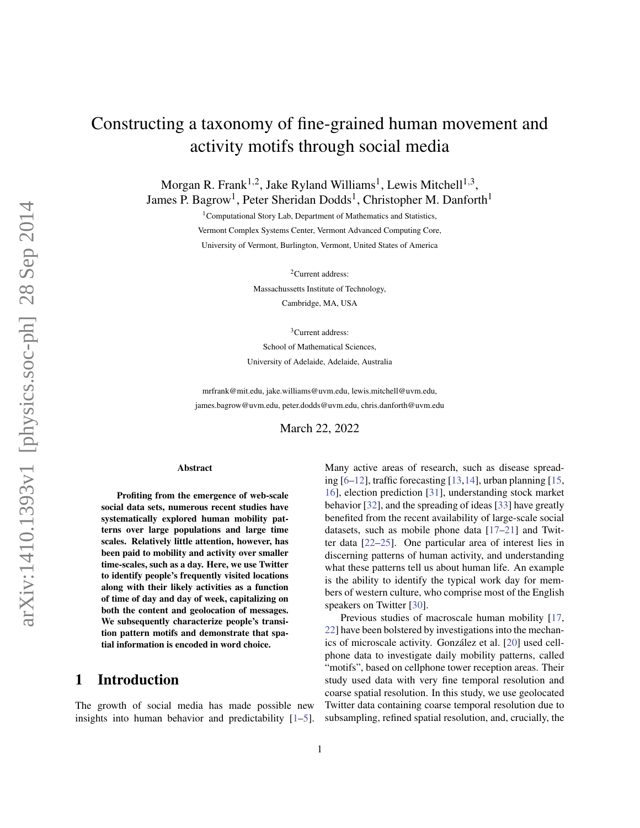# Constructing a taxonomy of fine-grained human movement and activity motifs through social media

Morgan R. Frank<sup>1,2</sup>, Jake Ryland Williams<sup>1</sup>, Lewis Mitchell<sup>1,3</sup>, James P. Bagrow<sup>1</sup>, Peter Sheridan Dodds<sup>1</sup>, Christopher M. Danforth<sup>1</sup>

> <sup>1</sup>Computational Story Lab, Department of Mathematics and Statistics, Vermont Complex Systems Center, Vermont Advanced Computing Core, University of Vermont, Burlington, Vermont, United States of America

> > <sup>2</sup>Current address:

Massachussetts Institute of Technology, Cambridge, MA, USA

<sup>3</sup>Current address:

School of Mathematical Sciences, University of Adelaide, Adelaide, Australia

mrfrank@mit.edu, jake.williams@uvm.edu, lewis.mitchell@uvm.edu, james.bagrow@uvm.edu, peter.dodds@uvm.edu, chris.danforth@uvm.edu

March 22, 2022

#### Abstract

Profiting from the emergence of web-scale social data sets, numerous recent studies have systematically explored human mobility patterns over large populations and large time scales. Relatively little attention, however, has been paid to mobility and activity over smaller time-scales, such as a day. Here, we use Twitter to identify people's frequently visited locations along with their likely activities as a function of time of day and day of week, capitalizing on both the content and geolocation of messages. We subsequently characterize people's transition pattern motifs and demonstrate that spatial information is encoded in word choice.

# 1 Introduction

The growth of social media has made possible new insights into human behavior and predictability [\[1](#page-8-0)[–5\]](#page-9-0). Many active areas of research, such as disease spreading  $[6–12]$  $[6–12]$ , traffic forecasting  $[13,14]$  $[13,14]$ , urban planning  $[15, 14]$  $[15, 14]$ [16\]](#page-9-6), election prediction [\[31\]](#page-10-0), understanding stock market behavior [\[32\]](#page-10-1), and the spreading of ideas [\[33\]](#page-10-2) have greatly benefited from the recent availability of large-scale social datasets, such as mobile phone data [\[17–](#page-9-7)[21\]](#page-9-8) and Twitter data [\[22–](#page-9-9)[25\]](#page-9-10). One particular area of interest lies in discerning patterns of human activity, and understanding what these patterns tell us about human life. An example is the ability to identify the typical work day for members of western culture, who comprise most of the English speakers on Twitter [\[30\]](#page-10-3).

Previous studies of macroscale human mobility [\[17,](#page-9-7) [22\]](#page-9-9) have been bolstered by investigations into the mechan-ics of microscale activity. González et al. [[20\]](#page-9-11) used cellphone data to investigate daily mobility patterns, called "motifs", based on cellphone tower reception areas. Their study used data with very fine temporal resolution and coarse spatial resolution. In this study, we use geolocated Twitter data containing coarse temporal resolution due to subsampling, refined spatial resolution, and, crucially, the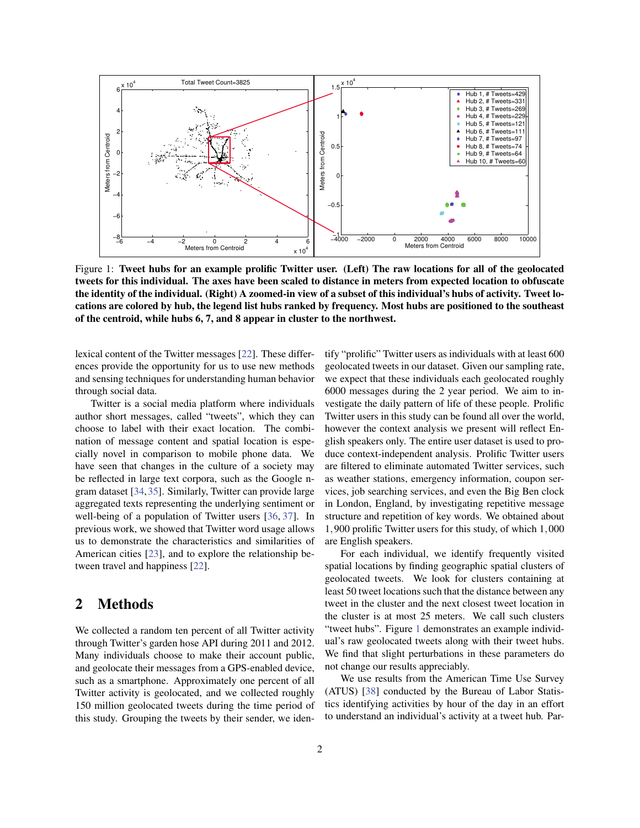<span id="page-1-0"></span>

Figure 1: Tweet hubs for an example prolific Twitter user. (Left) The raw locations for all of the geolocated tweets for this individual. The axes have been scaled to distance in meters from expected location to obfuscate the identity of the individual. (Right) A zoomed-in view of a subset of this individual's hubs of activity. Tweet locations are colored by hub, the legend list hubs ranked by frequency. Most hubs are positioned to the southeast of the centroid, while hubs 6, 7, and 8 appear in cluster to the northwest.

lexical content of the Twitter messages [\[22\]](#page-9-9). These differences provide the opportunity for us to use new methods and sensing techniques for understanding human behavior through social data.

Twitter is a social media platform where individuals author short messages, called "tweets", which they can choose to label with their exact location. The combination of message content and spatial location is especially novel in comparison to mobile phone data. We have seen that changes in the culture of a society may be reflected in large text corpora, such as the Google ngram dataset [\[34,](#page-10-4)[35\]](#page-10-5). Similarly, Twitter can provide large aggregated texts representing the underlying sentiment or well-being of a population of Twitter users [\[36,](#page-10-6) [37\]](#page-10-7). In previous work, we showed that Twitter word usage allows us to demonstrate the characteristics and similarities of American cities [\[23\]](#page-9-12), and to explore the relationship between travel and happiness [\[22\]](#page-9-9).

# 2 Methods

We collected a random ten percent of all Twitter activity through Twitter's garden hose API during 2011 and 2012. Many individuals choose to make their account public, and geolocate their messages from a GPS-enabled device, such as a smartphone. Approximately one percent of all Twitter activity is geolocated, and we collected roughly 150 million geolocated tweets during the time period of this study. Grouping the tweets by their sender, we identify "prolific" Twitter users as individuals with at least 600 geolocated tweets in our dataset. Given our sampling rate, we expect that these individuals each geolocated roughly 6000 messages during the 2 year period. We aim to investigate the daily pattern of life of these people. Prolific Twitter users in this study can be found all over the world, however the context analysis we present will reflect English speakers only. The entire user dataset is used to produce context-independent analysis. Prolific Twitter users are filtered to eliminate automated Twitter services, such as weather stations, emergency information, coupon services, job searching services, and even the Big Ben clock in London, England, by investigating repetitive message structure and repetition of key words. We obtained about 1,900 prolific Twitter users for this study, of which 1,000 are English speakers.

For each individual, we identify frequently visited spatial locations by finding geographic spatial clusters of geolocated tweets. We look for clusters containing at least 50 tweet locations such that the distance between any tweet in the cluster and the next closest tweet location in the cluster is at most 25 meters. We call such clusters "tweet hubs". Figure [1](#page-1-0) demonstrates an example individual's raw geolocated tweets along with their tweet hubs. We find that slight perturbations in these parameters do not change our results appreciably.

We use results from the American Time Use Survey (ATUS) [\[38\]](#page-10-8) conducted by the Bureau of Labor Statistics identifying activities by hour of the day in an effort to understand an individual's activity at a tweet hub. Par-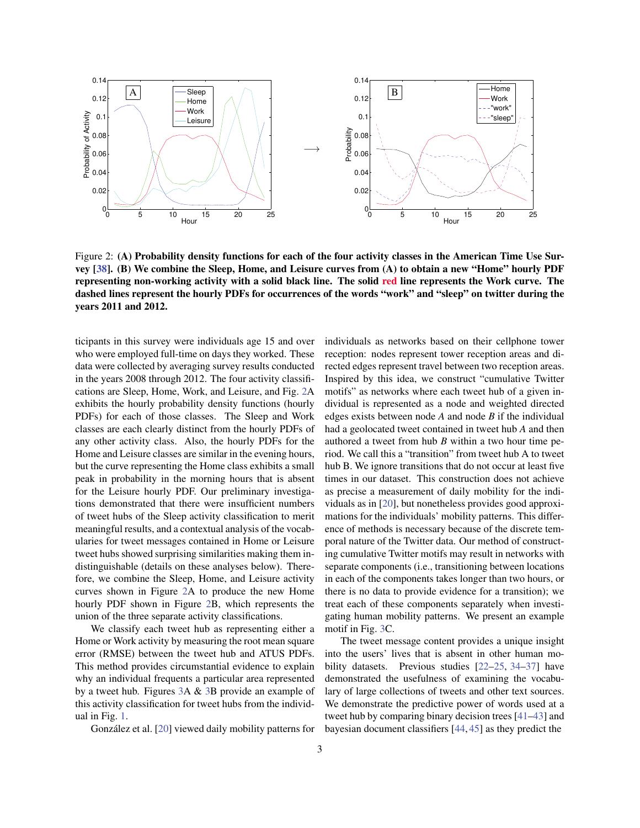<span id="page-2-0"></span>

Figure 2: (A) Probability density functions for each of the four activity classes in the American Time Use Survey [\[38\]](#page-10-8). (B) We combine the Sleep, Home, and Leisure curves from (A) to obtain a new "Home" hourly PDF representing non-working activity with a solid black line. The solid red line represents the Work curve. The dashed lines represent the hourly PDFs for occurrences of the words "work" and "sleep" on twitter during the years 2011 and 2012.

ticipants in this survey were individuals age 15 and over who were employed full-time on days they worked. These data were collected by averaging survey results conducted in the years 2008 through 2012. The four activity classifications are Sleep, Home, Work, and Leisure, and Fig. [2A](#page-2-0) exhibits the hourly probability density functions (hourly PDFs) for each of those classes. The Sleep and Work classes are each clearly distinct from the hourly PDFs of any other activity class. Also, the hourly PDFs for the Home and Leisure classes are similar in the evening hours, but the curve representing the Home class exhibits a small peak in probability in the morning hours that is absent for the Leisure hourly PDF. Our preliminary investigations demonstrated that there were insufficient numbers of tweet hubs of the Sleep activity classification to merit meaningful results, and a contextual analysis of the vocabularies for tweet messages contained in Home or Leisure tweet hubs showed surprising similarities making them indistinguishable (details on these analyses below). Therefore, we combine the Sleep, Home, and Leisure activity curves shown in Figure [2A](#page-2-0) to produce the new Home hourly PDF shown in Figure [2B](#page-2-0), which represents the union of the three separate activity classifications.

We classify each tweet hub as representing either a Home or Work activity by measuring the root mean square error (RMSE) between the tweet hub and ATUS PDFs. This method provides circumstantial evidence to explain why an individual frequents a particular area represented by a tweet hub. Figures [3A](#page-3-0) & [3B](#page-3-0) provide an example of this activity classification for tweet hubs from the individual in Fig. [1.](#page-1-0)

González et al. [[20\]](#page-9-11) viewed daily mobility patterns for

individuals as networks based on their cellphone tower reception: nodes represent tower reception areas and directed edges represent travel between two reception areas. Inspired by this idea, we construct "cumulative Twitter motifs" as networks where each tweet hub of a given individual is represented as a node and weighted directed edges exists between node *A* and node *B* if the individual had a geolocated tweet contained in tweet hub *A* and then authored a tweet from hub *B* within a two hour time period. We call this a "transition" from tweet hub A to tweet hub B. We ignore transitions that do not occur at least five times in our dataset. This construction does not achieve as precise a measurement of daily mobility for the individuals as in [\[20\]](#page-9-11), but nonetheless provides good approximations for the individuals' mobility patterns. This difference of methods is necessary because of the discrete temporal nature of the Twitter data. Our method of constructing cumulative Twitter motifs may result in networks with separate components (i.e., transitioning between locations in each of the components takes longer than two hours, or there is no data to provide evidence for a transition); we treat each of these components separately when investigating human mobility patterns. We present an example motif in Fig. [3C](#page-3-0).

The tweet message content provides a unique insight into the users' lives that is absent in other human mobility datasets. Previous studies [\[22–](#page-9-9)[25,](#page-9-10) [34](#page-10-4)[–37\]](#page-10-7) have demonstrated the usefulness of examining the vocabulary of large collections of tweets and other text sources. We demonstrate the predictive power of words used at a tweet hub by comparing binary decision trees [\[41](#page-10-9)[–43\]](#page-10-10) and bayesian document classifiers [\[44,](#page-10-11) [45\]](#page-10-12) as they predict the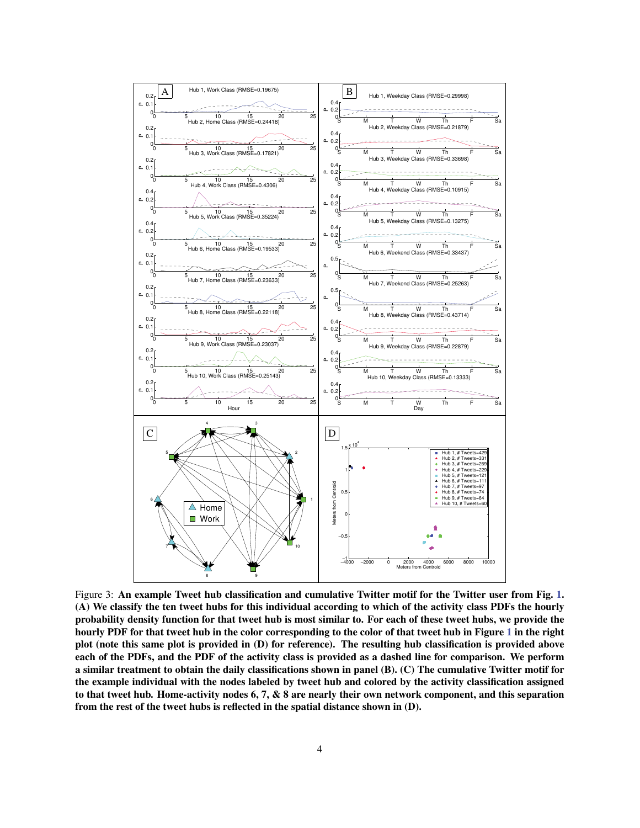<span id="page-3-0"></span>

Figure 3: An example Tweet hub classification and cumulative Twitter motif for the Twitter user from Fig. [1.](#page-1-0) (A) We classify the ten tweet hubs for this individual according to which of the activity class PDFs the hourly probability density function for that tweet hub is most similar to. For each of these tweet hubs, we provide the hourly PDF for that tweet hub in the color corresponding to the color of that tweet hub in Figure [1](#page-1-0) in the right plot (note this same plot is provided in (D) for reference). The resulting hub classification is provided above each of the PDFs, and the PDF of the activity class is provided as a dashed line for comparison. We perform a similar treatment to obtain the daily classifications shown in panel (B). (C) The cumulative Twitter motif for the example individual with the nodes labeled by tweet hub and colored by the activity classification assigned to that tweet hub. Home-activity nodes 6, 7, & 8 are nearly their own network component, and this separation from the rest of the tweet hubs is reflected in the spatial distance shown in (D).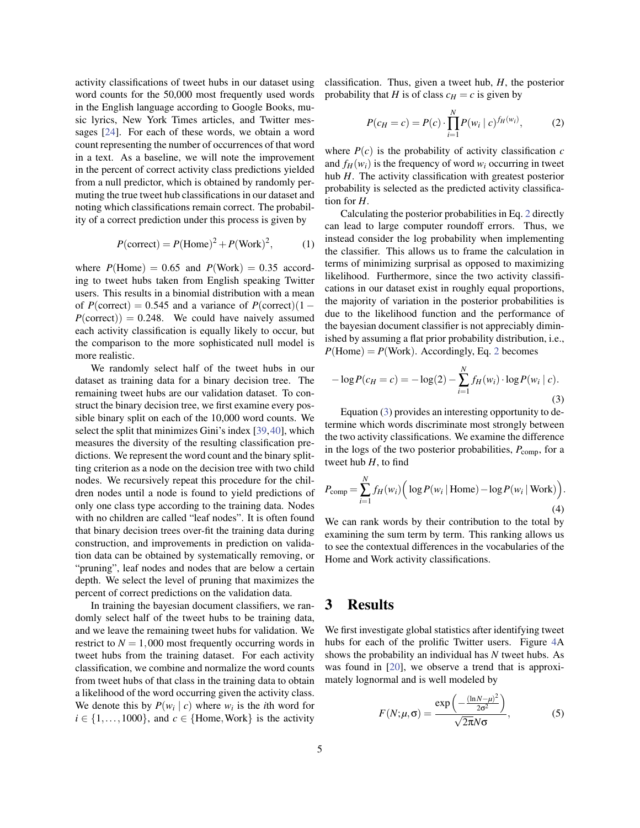activity classifications of tweet hubs in our dataset using word counts for the 50,000 most frequently used words in the English language according to Google Books, music lyrics, New York Times articles, and Twitter messages [\[24\]](#page-9-13). For each of these words, we obtain a word count representing the number of occurrences of that word in a text. As a baseline, we will note the improvement in the percent of correct activity class predictions yielded from a null predictor, which is obtained by randomly permuting the true tweet hub classifications in our dataset and noting which classifications remain correct. The probability of a correct prediction under this process is given by

$$
P(\text{correct}) = P(\text{Home})^2 + P(\text{Work})^2, \tag{1}
$$

where  $P(\text{Home}) = 0.65$  and  $P(\text{Work}) = 0.35$  according to tweet hubs taken from English speaking Twitter users. This results in a binomial distribution with a mean of  $P(\text{correct}) = 0.545$  and a variance of  $P(\text{correct})$ (1 –  $P(\text{correct})$ ) = 0.248. We could have naively assumed each activity classification is equally likely to occur, but the comparison to the more sophisticated null model is more realistic.

We randomly select half of the tweet hubs in our dataset as training data for a binary decision tree. The remaining tweet hubs are our validation dataset. To construct the binary decision tree, we first examine every possible binary split on each of the 10,000 word counts. We select the split that minimizes Gini's index [\[39,](#page-10-13)[40\]](#page-10-14), which measures the diversity of the resulting classification predictions. We represent the word count and the binary splitting criterion as a node on the decision tree with two child nodes. We recursively repeat this procedure for the children nodes until a node is found to yield predictions of only one class type according to the training data. Nodes with no children are called "leaf nodes". It is often found that binary decision trees over-fit the training data during construction, and improvements in prediction on validation data can be obtained by systematically removing, or "pruning", leaf nodes and nodes that are below a certain depth. We select the level of pruning that maximizes the percent of correct predictions on the validation data.

In training the bayesian document classifiers, we randomly select half of the tweet hubs to be training data, and we leave the remaining tweet hubs for validation. We restrict to  $N = 1,000$  most frequently occurring words in tweet hubs from the training dataset. For each activity classification, we combine and normalize the word counts from tweet hubs of that class in the training data to obtain a likelihood of the word occurring given the activity class. We denote this by  $P(w_i | c)$  where  $w_i$  is the *i*th word for  $i \in \{1, \ldots, 1000\}$ , and  $c \in \{\text{Home}, \text{Work}\}\$ is the activity

classification. Thus, given a tweet hub, *H*, the posterior probability that *H* is of class  $c_H = c$  is given by

<span id="page-4-0"></span>
$$
P(c_H = c) = P(c) \cdot \prod_{i=1}^{N} P(w_i \mid c)^{f_H(w_i)},
$$
 (2)

where  $P(c)$  is the probability of activity classification  $c$ and  $f_H(w_i)$  is the frequency of word  $w_i$  occurring in tweet hub *H*. The activity classification with greatest posterior probability is selected as the predicted activity classification for *H*.

Calculating the posterior probabilities in Eq. [2](#page-4-0) directly can lead to large computer roundoff errors. Thus, we instead consider the log probability when implementing the classifier. This allows us to frame the calculation in terms of minimizing surprisal as opposed to maximizing likelihood. Furthermore, since the two activity classifications in our dataset exist in roughly equal proportions, the majority of variation in the posterior probabilities is due to the likelihood function and the performance of the bayesian document classifier is not appreciably diminished by assuming a flat prior probability distribution, i.e.,  $P(\text{Home}) = P(\text{Work})$ . Accordingly, Eq. [2](#page-4-0) becomes

<span id="page-4-1"></span>
$$
-\log P(c_H = c) = -\log(2) - \sum_{i=1}^{N} f_H(w_i) \cdot \log P(w_i \mid c).
$$
\n(3)

Equation [\(3\)](#page-4-1) provides an interesting opportunity to determine which words discriminate most strongly between the two activity classifications. We examine the difference in the logs of the two posterior probabilities,  $P_{\text{comp}}$ , for a tweet hub *H*, to find

<span id="page-4-2"></span>
$$
P_{\text{comp}} = \sum_{i=1}^{N} f_H(w_i) \Big( \log P(w_i \mid \text{Home}) - \log P(w_i \mid \text{Work}) \Big). \tag{4}
$$

We can rank words by their contribution to the total by examining the sum term by term. This ranking allows us to see the contextual differences in the vocabularies of the Home and Work activity classifications.

# 3 Results

We first investigate global statistics after identifying tweet hubs for each of the prolific Twitter users. Figure [4A](#page-5-0) shows the probability an individual has *N* tweet hubs. As was found in [\[20\]](#page-9-11), we observe a trend that is approximately lognormal and is well modeled by

$$
F(N; \mu, \sigma) = \frac{\exp\left(-\frac{(\ln N - \mu)^2}{2\sigma^2}\right)}{\sqrt{2\pi}N\sigma},
$$
\n(5)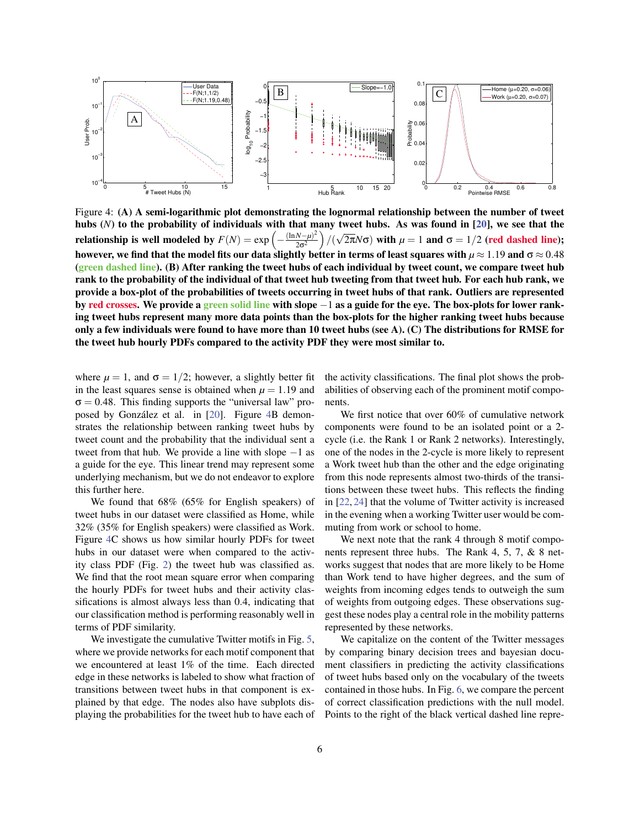<span id="page-5-0"></span>

Figure 4: (A) A semi-logarithmic plot demonstrating the lognormal relationship between the number of tweet hubs (*N*) to the probability of individuals with that many tweet hubs. As was found in [\[20\]](#page-9-11), we see that the relationship is well modeled by  $F(N) = \exp \left(-\frac{(\ln N - \mu)^2}{2\sigma^2}\right)$  $2\sigma^2$  $)/$ √ 2π $N$ σ) with  $\mu = 1$  and  $\sigma = 1/2$  (red dashed line); however, we find that the model fits our data slightly better in terms of least squares with  $\mu \approx 1.19$  and  $\sigma \approx 0.48$ (green dashed line). (B) After ranking the tweet hubs of each individual by tweet count, we compare tweet hub rank to the probability of the individual of that tweet hub tweeting from that tweet hub. For each hub rank, we provide a box-plot of the probabilities of tweets occurring in tweet hubs of that rank. Outliers are represented by red crosses. We provide a green solid line with slope −1 as a guide for the eye. The box-plots for lower ranking tweet hubs represent many more data points than the box-plots for the higher ranking tweet hubs because only a few individuals were found to have more than 10 tweet hubs (see A). (C) The distributions for RMSE for the tweet hub hourly PDFs compared to the activity PDF they were most similar to.

where  $\mu = 1$ , and  $\sigma = 1/2$ ; however, a slightly better fit in the least squares sense is obtained when  $\mu = 1.19$  and  $\sigma = 0.48$ . This finding supports the "universal law" pro-posed by González et al. in [[20\]](#page-9-11). Figure [4B](#page-5-0) demonstrates the relationship between ranking tweet hubs by tweet count and the probability that the individual sent a tweet from that hub. We provide a line with slope  $-1$  as a guide for the eye. This linear trend may represent some underlying mechanism, but we do not endeavor to explore this further here.

We found that 68% (65% for English speakers) of tweet hubs in our dataset were classified as Home, while 32% (35% for English speakers) were classified as Work. Figure [4C](#page-5-0) shows us how similar hourly PDFs for tweet hubs in our dataset were when compared to the activity class PDF (Fig. [2\)](#page-2-0) the tweet hub was classified as. We find that the root mean square error when comparing the hourly PDFs for tweet hubs and their activity classifications is almost always less than 0.4, indicating that our classification method is performing reasonably well in terms of PDF similarity.

We investigate the cumulative Twitter motifs in Fig. [5,](#page-6-0) where we provide networks for each motif component that we encountered at least 1% of the time. Each directed edge in these networks is labeled to show what fraction of transitions between tweet hubs in that component is explained by that edge. The nodes also have subplots displaying the probabilities for the tweet hub to have each of the activity classifications. The final plot shows the probabilities of observing each of the prominent motif components.

We first notice that over 60% of cumulative network components were found to be an isolated point or a 2 cycle (i.e. the Rank 1 or Rank 2 networks). Interestingly, one of the nodes in the 2-cycle is more likely to represent a Work tweet hub than the other and the edge originating from this node represents almost two-thirds of the transitions between these tweet hubs. This reflects the finding in [\[22,](#page-9-9) [24\]](#page-9-13) that the volume of Twitter activity is increased in the evening when a working Twitter user would be commuting from work or school to home.

We next note that the rank 4 through 8 motif components represent three hubs. The Rank 4, 5, 7, & 8 networks suggest that nodes that are more likely to be Home than Work tend to have higher degrees, and the sum of weights from incoming edges tends to outweigh the sum of weights from outgoing edges. These observations suggest these nodes play a central role in the mobility patterns represented by these networks.

We capitalize on the content of the Twitter messages by comparing binary decision trees and bayesian document classifiers in predicting the activity classifications of tweet hubs based only on the vocabulary of the tweets contained in those hubs. In Fig. [6,](#page-7-0) we compare the percent of correct classification predictions with the null model. Points to the right of the black vertical dashed line repre-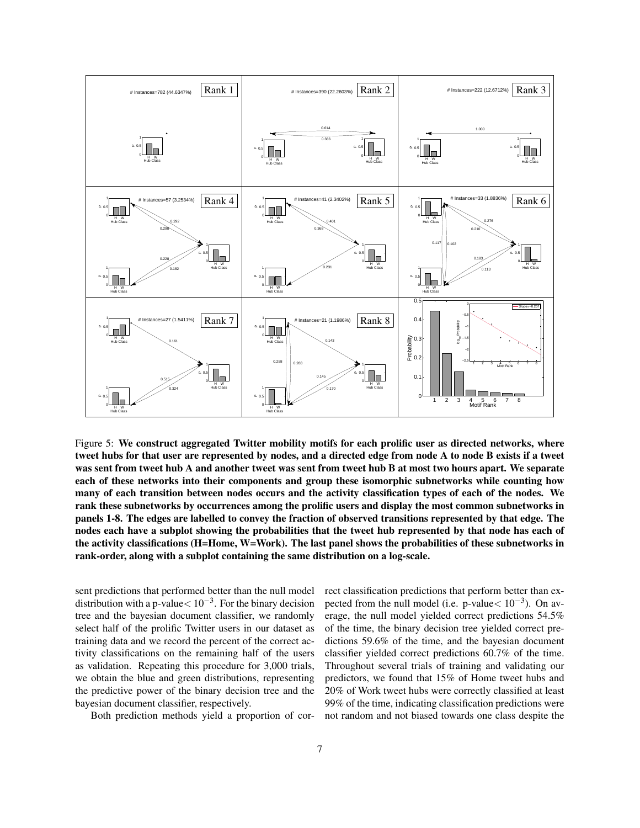<span id="page-6-0"></span>

Figure 5: We construct aggregated Twitter mobility motifs for each prolific user as directed networks, where tweet hubs for that user are represented by nodes, and a directed edge from node A to node B exists if a tweet was sent from tweet hub A and another tweet was sent from tweet hub B at most two hours apart. We separate each of these networks into their components and group these isomorphic subnetworks while counting how many of each transition between nodes occurs and the activity classification types of each of the nodes. We rank these subnetworks by occurrences among the prolific users and display the most common subnetworks in panels 1-8. The edges are labelled to convey the fraction of observed transitions represented by that edge. The nodes each have a subplot showing the probabilities that the tweet hub represented by that node has each of the activity classifications (H=Home, W=Work). The last panel shows the probabilities of these subnetworks in rank-order, along with a subplot containing the same distribution on a log-scale.

sent predictions that performed better than the null model distribution with a p-value $< 10^{-3}$ . For the binary decision tree and the bayesian document classifier, we randomly select half of the prolific Twitter users in our dataset as training data and we record the percent of the correct activity classifications on the remaining half of the users as validation. Repeating this procedure for 3,000 trials, we obtain the blue and green distributions, representing the predictive power of the binary decision tree and the bayesian document classifier, respectively.

Both prediction methods yield a proportion of cor-

rect classification predictions that perform better than expected from the null model (i.e. p-value $< 10^{-3}$ ). On average, the null model yielded correct predictions 54.5% of the time, the binary decision tree yielded correct predictions 59.6% of the time, and the bayesian document classifier yielded correct predictions 60.7% of the time. Throughout several trials of training and validating our predictors, we found that 15% of Home tweet hubs and 20% of Work tweet hubs were correctly classified at least 99% of the time, indicating classification predictions were not random and not biased towards one class despite the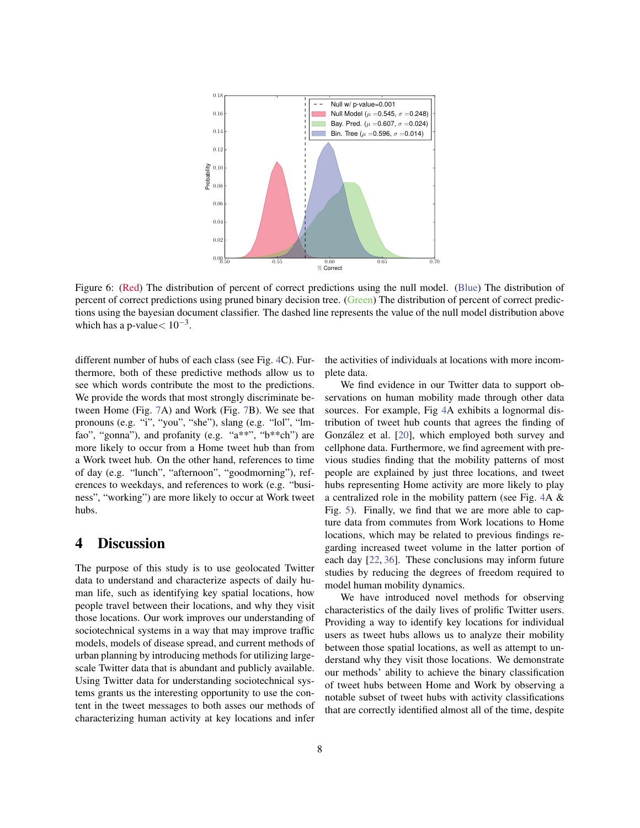<span id="page-7-0"></span>

Figure 6: (Red) The distribution of percent of correct predictions using the null model. (Blue) The distribution of percent of correct predictions using pruned binary decision tree. (Green) The distribution of percent of correct predictions using the bayesian document classifier. The dashed line represents the value of the null model distribution above which has a p-value $< 10^{-3}$ .

different number of hubs of each class (see Fig. [4C](#page-5-0)). Furthermore, both of these predictive methods allow us to see which words contribute the most to the predictions. We provide the words that most strongly discriminate between Home (Fig. [7A](#page-8-1)) and Work (Fig. [7B](#page-8-1)). We see that pronouns (e.g. "i", "you", "she"), slang (e.g. "lol", "lmfao", "gonna"), and profanity (e.g. "a\*\*", "b\*\*ch") are more likely to occur from a Home tweet hub than from a Work tweet hub. On the other hand, references to time of day (e.g. "lunch", "afternoon", "goodmorning"), references to weekdays, and references to work (e.g. "business", "working") are more likely to occur at Work tweet hubs.

# 4 Discussion

The purpose of this study is to use geolocated Twitter data to understand and characterize aspects of daily human life, such as identifying key spatial locations, how people travel between their locations, and why they visit those locations. Our work improves our understanding of sociotechnical systems in a way that may improve traffic models, models of disease spread, and current methods of urban planning by introducing methods for utilizing largescale Twitter data that is abundant and publicly available. Using Twitter data for understanding sociotechnical systems grants us the interesting opportunity to use the content in the tweet messages to both asses our methods of characterizing human activity at key locations and infer the activities of individuals at locations with more incomplete data.

We find evidence in our Twitter data to support observations on human mobility made through other data sources. For example, Fig [4A](#page-5-0) exhibits a lognormal distribution of tweet hub counts that agrees the finding of González et al. [[20\]](#page-9-11), which employed both survey and cellphone data. Furthermore, we find agreement with previous studies finding that the mobility patterns of most people are explained by just three locations, and tweet hubs representing Home activity are more likely to play a centralized role in the mobility pattern (see Fig. [4A](#page-5-0) & Fig. [5\)](#page-6-0). Finally, we find that we are more able to capture data from commutes from Work locations to Home locations, which may be related to previous findings regarding increased tweet volume in the latter portion of each day [\[22,](#page-9-9) [36\]](#page-10-6). These conclusions may inform future studies by reducing the degrees of freedom required to model human mobility dynamics.

We have introduced novel methods for observing characteristics of the daily lives of prolific Twitter users. Providing a way to identify key locations for individual users as tweet hubs allows us to analyze their mobility between those spatial locations, as well as attempt to understand why they visit those locations. We demonstrate our methods' ability to achieve the binary classification of tweet hubs between Home and Work by observing a notable subset of tweet hubs with activity classifications that are correctly identified almost all of the time, despite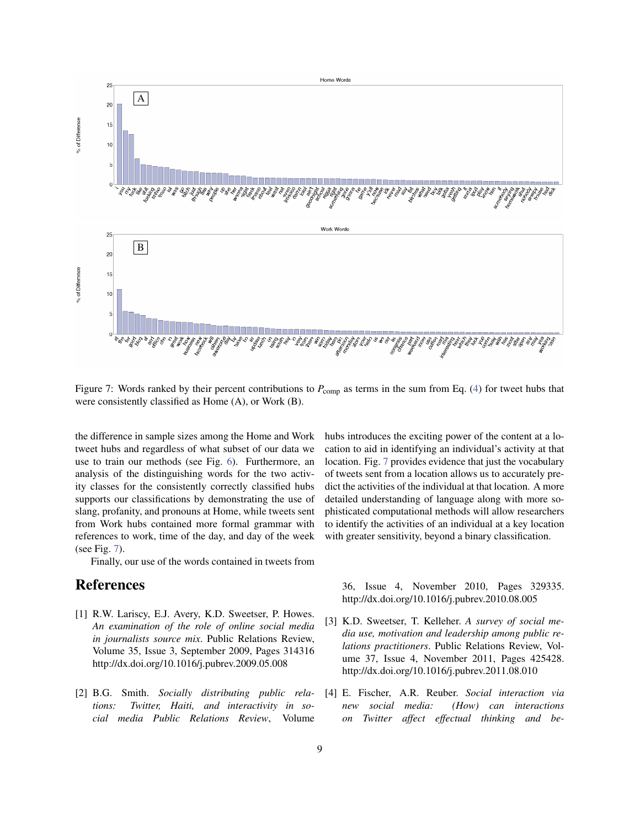<span id="page-8-1"></span>

Figure 7: Words ranked by their percent contributions to  $P_{\text{comp}}$  as terms in the sum from Eq. [\(4\)](#page-4-2) for tweet hubs that were consistently classified as Home (A), or Work (B).

the difference in sample sizes among the Home and Work tweet hubs and regardless of what subset of our data we use to train our methods (see Fig. [6\)](#page-7-0). Furthermore, an analysis of the distinguishing words for the two activity classes for the consistently correctly classified hubs supports our classifications by demonstrating the use of slang, profanity, and pronouns at Home, while tweets sent from Work hubs contained more formal grammar with references to work, time of the day, and day of the week (see Fig. [7\)](#page-8-1).

Finally, our use of the words contained in tweets from

# References

- <span id="page-8-0"></span>[1] R.W. Lariscy, E.J. Avery, K.D. Sweetser, P. Howes. *An examination of the role of online social media in journalists source mix*. Public Relations Review, Volume 35, Issue 3, September 2009, Pages 314316 http://dx.doi.org/10.1016/j.pubrev.2009.05.008
- [2] B.G. Smith. *Socially distributing public relations: Twitter, Haiti, and interactivity in social media Public Relations Review*, Volume

hubs introduces the exciting power of the content at a location to aid in identifying an individual's activity at that location. Fig. [7](#page-8-1) provides evidence that just the vocabulary of tweets sent from a location allows us to accurately predict the activities of the individual at that location. A more detailed understanding of language along with more sophisticated computational methods will allow researchers to identify the activities of an individual at a key location with greater sensitivity, beyond a binary classification.

36, Issue 4, November 2010, Pages 329335. http://dx.doi.org/10.1016/j.pubrev.2010.08.005

- [3] K.D. Sweetser, T. Kelleher. *A survey of social media use, motivation and leadership among public relations practitioners*. Public Relations Review, Volume 37, Issue 4, November 2011, Pages 425428. http://dx.doi.org/10.1016/j.pubrev.2011.08.010
- [4] E. Fischer, A.R. Reuber. *Social interaction via new social media: (How) can interactions on Twitter affect effectual thinking and be-*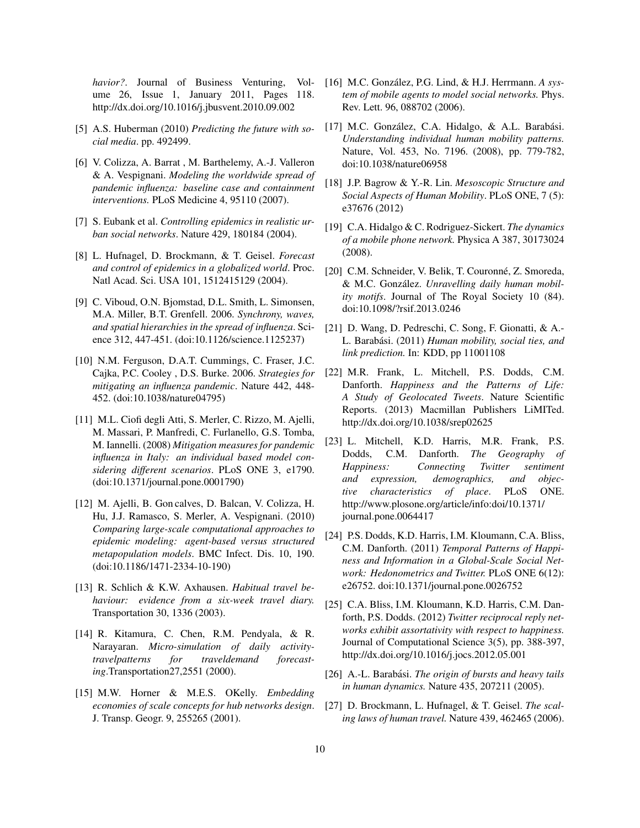*havior?*. Journal of Business Venturing, Volume 26, Issue 1, January 2011, Pages 118. http://dx.doi.org/10.1016/j.jbusvent.2010.09.002

- <span id="page-9-0"></span>[5] A.S. Huberman (2010) *Predicting the future with social media*. pp. 492499.
- <span id="page-9-1"></span>[6] V. Colizza, A. Barrat , M. Barthelemy, A.-J. Valleron & A. Vespignani. *Modeling the worldwide spread of pandemic influenza: baseline case and containment interventions.* PLoS Medicine 4, 95110 (2007).
- [7] S. Eubank et al. *Controlling epidemics in realistic urban social networks*. Nature 429, 180184 (2004).
- [8] L. Hufnagel, D. Brockmann, & T. Geisel. *Forecast and control of epidemics in a globalized world*. Proc. Natl Acad. Sci. USA 101, 1512415129 (2004).
- [9] C. Viboud, O.N. Bjomstad, D.L. Smith, L. Simonsen, M.A. Miller, B.T. Grenfell. 2006. *Synchrony, waves, and spatial hierarchies in the spread of influenza*. Science 312, 447-451. (doi:10.1126/science.1125237)
- [10] N.M. Ferguson, D.A.T. Cummings, C. Fraser, J.C. Cajka, P.C. Cooley , D.S. Burke. 2006. *Strategies for mitigating an influenza pandemic*. Nature 442, 448- 452. (doi:10.1038/nature04795)
- [11] M.L. Ciofi degli Atti, S. Merler, C. Rizzo, M. Ajelli, M. Massari, P. Manfredi, C. Furlanello, G.S. Tomba, M. Iannelli. (2008) *Mitigation measures for pandemic influenza in Italy: an individual based model considering different scenarios*. PLoS ONE 3, e1790. (doi:10.1371/journal.pone.0001790)
- <span id="page-9-2"></span>[12] M. Ajelli, B. Gon calves, D. Balcan, V. Colizza, H. Hu, J.J. Ramasco, S. Merler, A. Vespignani. (2010) *Comparing large-scale computational approaches to epidemic modeling: agent-based versus structured metapopulation models*. BMC Infect. Dis. 10, 190. (doi:10.1186/1471-2334-10-190)
- <span id="page-9-3"></span>[13] R. Schlich & K.W. Axhausen. *Habitual travel behaviour: evidence from a six-week travel diary.* Transportation 30, 1336 (2003).
- <span id="page-9-4"></span>[14] R. Kitamura, C. Chen, R.M. Pendyala, & R. Narayaran. *Micro-simulation of daily activitytravelpatterns for traveldemand forecasting*.Transportation27,2551 (2000).
- <span id="page-9-5"></span>[15] M.W. Horner & M.E.S. OKelly. *Embedding economies of scale concepts for hub networks design*. J. Transp. Geogr. 9, 255265 (2001).
- <span id="page-9-6"></span>[16] M.C. González, P.G. Lind, & H.J. Herrmann. A *system of mobile agents to model social networks.* Phys. Rev. Lett. 96, 088702 (2006).
- <span id="page-9-7"></span>[17] M.C. González, C.A. Hidalgo,  $\&$  A.L. Barabási. *Understanding individual human mobility patterns.* Nature, Vol. 453, No. 7196. (2008), pp. 779-782, doi:10.1038/nature06958
- [18] J.P. Bagrow & Y.-R. Lin. *Mesoscopic Structure and Social Aspects of Human Mobility*. PLoS ONE, 7 (5): e37676 (2012)
- [19] C.A. Hidalgo & C. Rodriguez-Sickert. *The dynamics of a mobile phone network.* Physica A 387, 30173024 (2008).
- <span id="page-9-11"></span>[20] C.M. Schneider, V. Belik, T. Couronné, Z. Smoreda,  $&$  M.C. González. *Unravelling daily human mobility motifs*. Journal of The Royal Society 10 (84). doi:10.1098/?rsif.2013.0246
- <span id="page-9-8"></span>[21] D. Wang, D. Pedreschi, C. Song, F. Gionatti, & A.- L. Barabási. (2011) *Human mobility, social ties, and link prediction.* In: KDD, pp 11001108
- <span id="page-9-9"></span>[22] M.R. Frank, L. Mitchell, P.S. Dodds, C.M. Danforth. *Happiness and the Patterns of Life: A Study of Geolocated Tweets*. Nature Scientific Reports. (2013) Macmillan Publishers LiMITed. http://dx.doi.org/10.1038/srep02625
- <span id="page-9-12"></span>[23] L. Mitchell, K.D. Harris, M.R. Frank, P.S. Dodds, C.M. Danforth. *The Geography of Happiness: Connecting Twitter sentiment and expression, demographics, and objective characteristics of place*. PLoS ONE. http://www.plosone.org/article/info:doi/10.1371/ journal.pone.0064417
- <span id="page-9-13"></span>[24] P.S. Dodds, K.D. Harris, I.M. Kloumann, C.A. Bliss, C.M. Danforth. (2011) *Temporal Patterns of Happiness and Information in a Global-Scale Social Network: Hedonometrics and Twitter.* PLoS ONE 6(12): e26752. doi:10.1371/journal.pone.0026752
- <span id="page-9-10"></span>[25] C.A. Bliss, I.M. Kloumann, K.D. Harris, C.M. Danforth, P.S. Dodds. (2012) *Twitter reciprocal reply networks exhibit assortativity with respect to happiness.* Journal of Computational Science 3(5), pp. 388-397, http://dx.doi.org/10.1016/j.jocs.2012.05.001
- [26] A.-L. Barabási. *The origin of bursts and heavy tails in human dynamics.* Nature 435, 207211 (2005).
- [27] D. Brockmann, L. Hufnagel, & T. Geisel. *The scaling laws of human travel.* Nature 439, 462465 (2006).